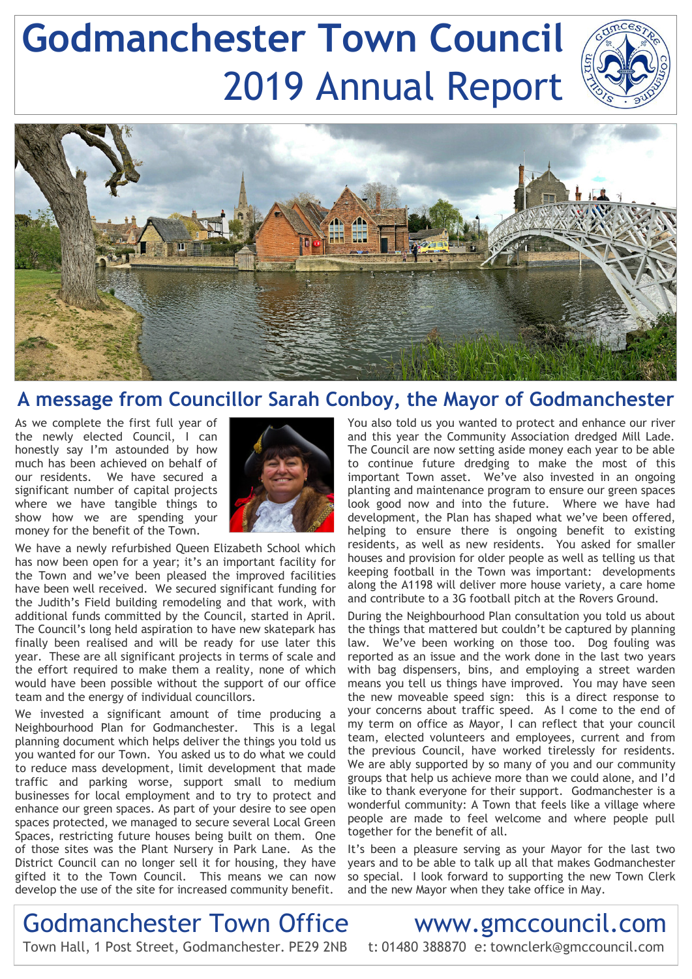# **Godmanchester Town Council** 2019 Annual Report



### **A message from Councillor Sarah Conboy, the Mayor of Godmanchester**

As we complete the first full year of the newly elected Council, I can honestly say I'm astounded by how much has been achieved on behalf of our residents. We have secured a significant number of capital projects where we have tangible things to show how we are spending your money for the benefit of the Town.



We have a newly refurbished Queen Elizabeth School which has now been open for a year; it's an important facility for the Town and we've been pleased the improved facilities have been well received. We secured significant funding for the Judith's Field building remodeling and that work, with additional funds committed by the Council, started in April. The Council's long held aspiration to have new skatepark has finally been realised and will be ready for use later this year. These are all significant projects in terms of scale and the effort required to make them a reality, none of which would have been possible without the support of our office team and the energy of individual councillors.

We invested a significant amount of time producing a Neighbourhood Plan for Godmanchester. This is a legal planning document which helps deliver the things you told us you wanted for our Town. You asked us to do what we could to reduce mass development, limit development that made traffic and parking worse, support small to medium businesses for local employment and to try to protect and enhance our green spaces. As part of your desire to see open spaces protected, we managed to secure several Local Green Spaces, restricting future houses being built on them. One of those sites was the Plant Nursery in Park Lane. As the District Council can no longer sell it for housing, they have gifted it to the Town Council. This means we can now develop the use of the site for increased community benefit.

You also told us you wanted to protect and enhance our river and this year the Community Association dredged Mill Lade. The Council are now setting aside money each year to be able to continue future dredging to make the most of this important Town asset. We've also invested in an ongoing planting and maintenance program to ensure our green spaces look good now and into the future. Where we have had development, the Plan has shaped what we've been offered, helping to ensure there is ongoing benefit to existing residents, as well as new residents. You asked for smaller houses and provision for older people as well as telling us that keeping football in the Town was important: developments along the A1198 will deliver more house variety, a care home and contribute to a 3G football pitch at the Rovers Ground.

During the Neighbourhood Plan consultation you told us about the things that mattered but couldn't be captured by planning law. We've been working on those too. Dog fouling was reported as an issue and the work done in the last two years with bag dispensers, bins, and employing a street warden means you tell us things have improved. You may have seen the new moveable speed sign: this is a direct response to your concerns about traffic speed. As I come to the end of my term on office as Mayor, I can reflect that your council team, elected volunteers and employees, current and from the previous Council, have worked tirelessly for residents. We are ably supported by so many of you and our community groups that help us achieve more than we could alone, and I'd like to thank everyone for their support. Godmanchester is a wonderful community: A Town that feels like a village where people are made to feel welcome and where people pull together for the benefit of all.

It's been a pleasure serving as your Mayor for the last two years and to be able to talk up all that makes Godmanchester so special. I look forward to supporting the new Town Clerk and the new Mayor when they take office in May.

# Godmanchester Town Office www.gmccouncil.com

Town Hall, 1 Post Street, Godmanchester. PE29 2NB t: 01480 388870 e: townclerk@gmccouncil.com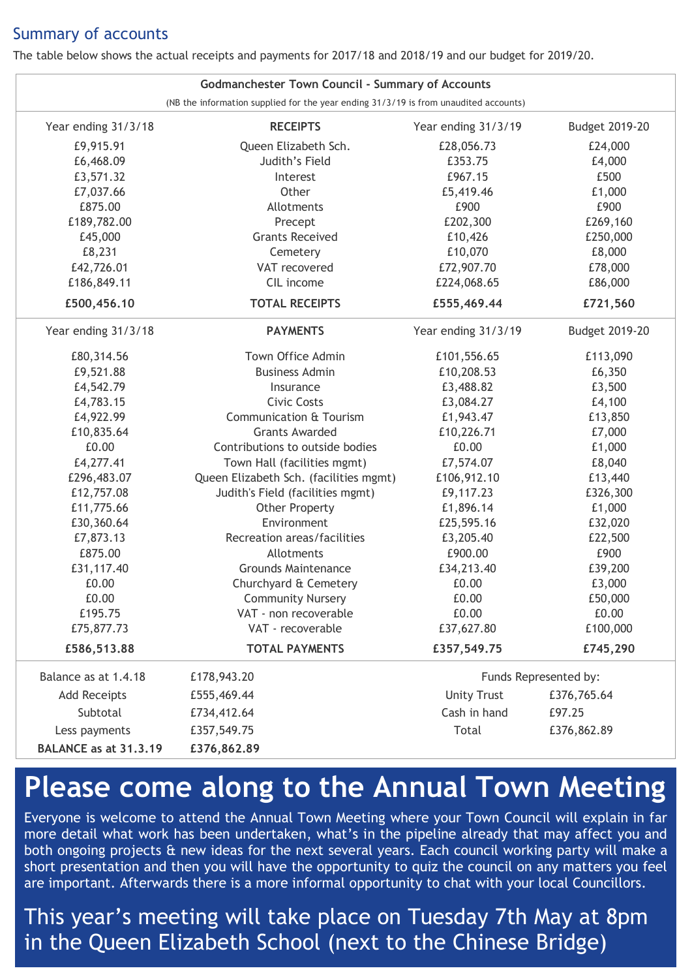### Summary of accounts

The table below shows the actual receipts and payments for 2017/18 and 2018/19 and our budget for 2019/20.

| <b>Godmanchester Town Council - Summary of Accounts</b>                              |                                        |                       |                |
|--------------------------------------------------------------------------------------|----------------------------------------|-----------------------|----------------|
| (NB the information supplied for the year ending 31/3/19 is from unaudited accounts) |                                        |                       |                |
| Year ending 31/3/18                                                                  | <b>RECEIPTS</b>                        | Year ending 31/3/19   | Budget 2019-20 |
| £9,915.91                                                                            | Queen Elizabeth Sch.                   | £28,056.73            | £24,000        |
| £6,468.09                                                                            | Judith's Field                         | £353.75               | £4,000         |
| £3,571.32                                                                            | Interest                               | £967.15               | £500           |
| £7,037.66                                                                            | Other                                  | £5,419.46             | £1,000         |
| £875.00                                                                              | Allotments                             | £900                  | £900           |
| £189,782.00                                                                          | Precept                                | £202,300              | £269,160       |
| £45,000                                                                              | <b>Grants Received</b>                 | £10,426               | £250,000       |
| £8,231                                                                               | Cemetery                               | £10,070               | £8,000         |
| £42,726.01                                                                           | VAT recovered                          | £72,907.70            | £78,000        |
| £186,849.11                                                                          | CIL income                             | £224,068.65           | £86,000        |
| £500,456.10                                                                          | <b>TOTAL RECEIPTS</b>                  | £555,469.44           | £721,560       |
| Year ending 31/3/18                                                                  | <b>PAYMENTS</b>                        | Year ending 31/3/19   | Budget 2019-20 |
| £80,314.56                                                                           | Town Office Admin                      | £101,556.65           | £113,090       |
| £9,521.88                                                                            | <b>Business Admin</b>                  | £10,208.53            | £6,350         |
| £4,542.79                                                                            | Insurance                              | £3,488.82             | £3,500         |
| £4,783.15                                                                            | Civic Costs                            | £3,084.27             | £4,100         |
| £4,922.99                                                                            | <b>Communication &amp; Tourism</b>     | £1,943.47             | £13,850        |
| £10,835.64                                                                           | <b>Grants Awarded</b>                  | £10,226.71            | £7,000         |
| £0.00                                                                                | Contributions to outside bodies        | £0.00                 | £1,000         |
| £4,277.41                                                                            | Town Hall (facilities mgmt)            | £7,574.07             | £8,040         |
| £296,483.07                                                                          | Queen Elizabeth Sch. (facilities mgmt) | £106,912.10           | £13,440        |
| £12,757.08                                                                           | Judith's Field (facilities mgmt)       | £9,117.23             | £326,300       |
| £11,775.66                                                                           | <b>Other Property</b>                  | £1,896.14             | £1,000         |
| £30,360.64                                                                           | Environment                            | £25,595.16            | £32,020        |
| £7,873.13                                                                            | Recreation areas/facilities            | £3,205.40             | £22,500        |
| £875.00                                                                              | Allotments                             | £900.00               | £900           |
| £31,117.40                                                                           | <b>Grounds Maintenance</b>             | £34,213.40            | £39,200        |
| £0.00                                                                                | Churchyard & Cemetery                  | £0.00                 | £3,000         |
| £0.00                                                                                | <b>Community Nursery</b>               | £0.00                 | £50,000        |
| £195.75                                                                              | VAT - non recoverable                  | £0.00                 | £0.00          |
| £75,877.73                                                                           | VAT - recoverable                      | £37,627.80            | £100,000       |
| £586,513.88                                                                          | <b>TOTAL PAYMENTS</b>                  | £357,549.75           | £745,290       |
| Balance as at 1.4.18                                                                 | £178,943.20                            | Funds Represented by: |                |
| <b>Add Receipts</b>                                                                  | £555,469.44                            | <b>Unity Trust</b>    | £376,765.64    |
| Subtotal                                                                             | £734,412.64                            | Cash in hand          | £97.25         |
| Less payments                                                                        | £357,549.75                            | Total                 | £376,862.89    |
| BALANCE as at 31.3.19                                                                | £376,862.89                            |                       |                |

## **Please come along to the Annual Town Meeting**

Everyone is welcome to attend the Annual Town Meeting where your Town Council will explain in far more detail what work has been undertaken, what's in the pipeline already that may affect you and both ongoing projects & new ideas for the next several years. Each council working party will make a short presentation and then you will have the opportunity to quiz the council on any matters you feel are important. Afterwards there is a more informal opportunity to chat with your local Councillors.

This year's meeting will take place on Tuesday 7th May at 8pm in the Queen Elizabeth School (next to the Chinese Bridge)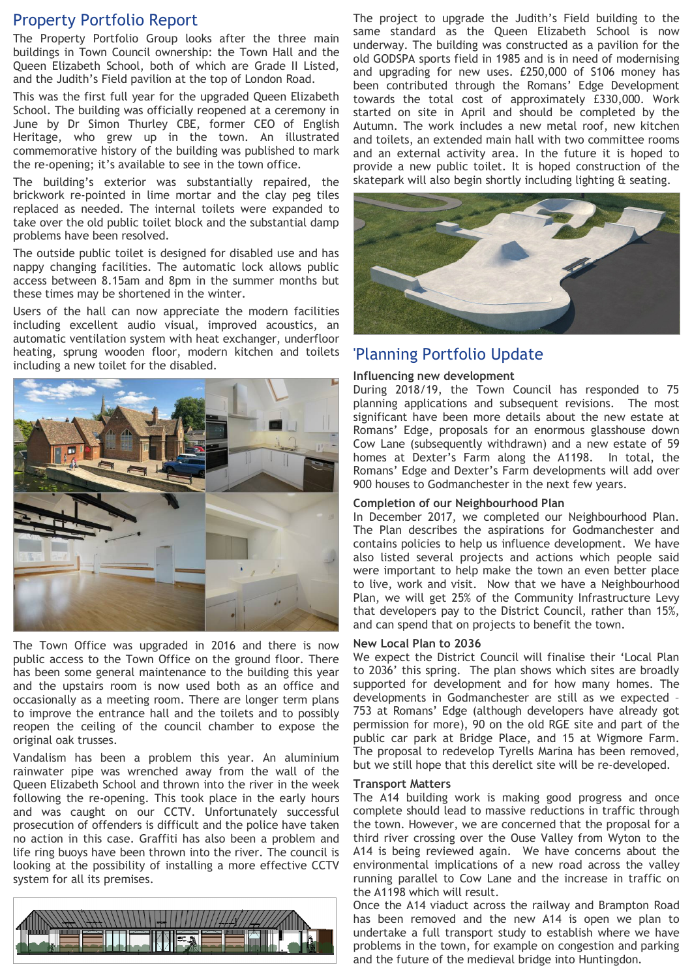#### Property Portfolio Report

The Property Portfolio Group looks after the three main buildings in Town Council ownership: the Town Hall and the Queen Elizabeth School, both of which are Grade II Listed, and the Judith's Field pavilion at the top of London Road.

This was the first full year for the upgraded Queen Elizabeth School. The building was officially reopened at a ceremony in June by Dr Simon Thurley CBE, former CEO of English Heritage, who grew up in the town. An illustrated commemorative history of the building was published to mark the re-opening; it's available to see in the town office.

The building's exterior was substantially repaired, the brickwork re-pointed in lime mortar and the clay peg tiles replaced as needed. The internal toilets were expanded to take over the old public toilet block and the substantial damp problems have been resolved.

The outside public toilet is designed for disabled use and has nappy changing facilities. The automatic lock allows public access between 8.15am and 8pm in the summer months but these times may be shortened in the winter.

Users of the hall can now appreciate the modern facilities including excellent audio visual, improved acoustics, an automatic ventilation system with heat exchanger, underfloor heating, sprung wooden floor, modern kitchen and toilets including a new toilet for the disabled.



The Town Office was upgraded in 2016 and there is now public access to the Town Office on the ground floor. There has been some general maintenance to the building this year and the upstairs room is now used both as an office and occasionally as a meeting room. There are longer term plans to improve the entrance hall and the toilets and to possibly reopen the ceiling of the council chamber to expose the original oak trusses.

Vandalism has been a problem this year. An aluminium rainwater pipe was wrenched away from the wall of the Queen Elizabeth School and thrown into the river in the week following the re-opening. This took place in the early hours and was caught on our CCTV. Unfortunately successful prosecution of offenders is difficult and the police have taken no action in this case. Graffiti has also been a problem and life ring buoys have been thrown into the river. The council is looking at the possibility of installing a more effective CCTV system for all its premises.



The project to upgrade the Judith's Field building to the same standard as the Queen Elizabeth School is now underway. The building was constructed as a pavilion for the old GODSPA sports field in 1985 and is in need of modernising and upgrading for new uses. £250,000 of S106 money has been contributed through the Romans' Edge Development towards the total cost of approximately £330,000. Work started on site in April and should be completed by the Autumn. The work includes a new metal roof, new kitchen and toilets, an extended main hall with two committee rooms and an external activity area. In the future it is hoped to provide a new public toilet. It is hoped construction of the skatepark will also begin shortly including lighting & seating.



### 'Planning Portfolio Update

#### **Influencing new development**

During 2018/19, the Town Council has responded to 75 planning applications and subsequent revisions. The most significant have been more details about the new estate at Romans' Edge, proposals for an enormous glasshouse down Cow Lane (subsequently withdrawn) and a new estate of 59 homes at Dexter's Farm along the A1198. In total, the Romans' Edge and Dexter's Farm developments will add over 900 houses to Godmanchester in the next few years.

#### **Completion of our Neighbourhood Plan**

In December 2017, we completed our Neighbourhood Plan. The Plan describes the aspirations for Godmanchester and contains policies to help us influence development. We have also listed several projects and actions which people said were important to help make the town an even better place to live, work and visit. Now that we have a Neighbourhood Plan, we will get 25% of the Community Infrastructure Levy that developers pay to the District Council, rather than 15%, and can spend that on projects to benefit the town.

#### **New Local Plan to 2036**

We expect the District Council will finalise their 'Local Plan to 2036' this spring. The plan shows which sites are broadly supported for development and for how many homes. The developments in Godmanchester are still as we expected – 753 at Romans' Edge (although developers have already got permission for more), 90 on the old RGE site and part of the public car park at Bridge Place, and 15 at Wigmore Farm. The proposal to redevelop Tyrells Marina has been removed, but we still hope that this derelict site will be re-developed.

#### **Transport Matters**

The A14 building work is making good progress and once complete should lead to massive reductions in traffic through the town. However, we are concerned that the proposal for a third river crossing over the Ouse Valley from Wyton to the A14 is being reviewed again. We have concerns about the environmental implications of a new road across the valley running parallel to Cow Lane and the increase in traffic on the A1198 which will result.

Once the A14 viaduct across the railway and Brampton Road has been removed and the new A14 is open we plan to undertake a full transport study to establish where we have problems in the town, for example on congestion and parking and the future of the medieval bridge into Huntingdon.